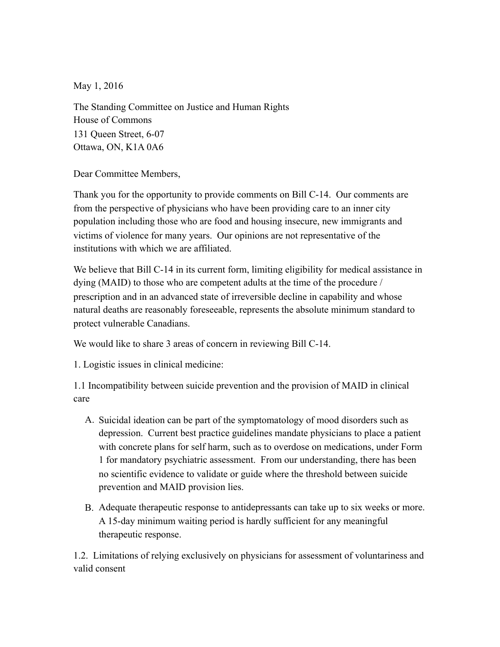May 1, 2016

The Standing Committee on Justice and Human Rights House of Commons 131 Queen Street, 6-07 Ottawa, ON, K1A 0A6

Dear Committee Members,

Thank you for the opportunity to provide comments on Bill C-14. Our comments are from the perspective of physicians who have been providing care to an inner city population including those who are food and housing insecure, new immigrants and victims of violence for many years. Our opinions are not representative of the institutions with which we are affiliated.

We believe that Bill C-14 in its current form, limiting eligibility for medical assistance in dying (MAID) to those who are competent adults at the time of the procedure / prescription and in an advanced state of irreversible decline in capability and whose natural deaths are reasonably foreseeable, represents the absolute minimum standard to protect vulnerable Canadians.

We would like to share 3 areas of concern in reviewing Bill C-14.

1. Logistic issues in clinical medicine:

1.1 Incompatibility between suicide prevention and the provision of MAID in clinical care

- A. Suicidal ideation can be part of the symptomatology of mood disorders such as depression. Current best practice guidelines mandate physicians to place a patient with concrete plans for self harm, such as to overdose on medications, under Form 1 for mandatory psychiatric assessment. From our understanding, there has been no scientific evidence to validate or guide where the threshold between suicide prevention and MAID provision lies.
- B. Adequate therapeutic response to antidepressants can take up to six weeks or more. A 15-day minimum waiting period is hardly sufficient for any meaningful therapeutic response.

1.2. Limitations of relying exclusively on physicians for assessment of voluntariness and valid consent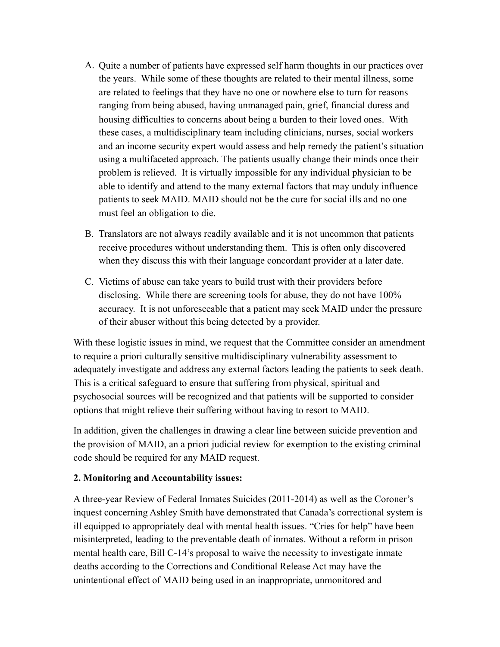- A. Quite a number of patients have expressed self harm thoughts in our practices over the years. While some of these thoughts are related to their mental illness, some are related to feelings that they have no one or nowhere else to turn for reasons ranging from being abused, having unmanaged pain, grief, financial duress and housing difficulties to concerns about being a burden to their loved ones. With these cases, a multidisciplinary team including clinicians, nurses, social workers and an income security expert would assess and help remedy the patient's situation using a multifaceted approach. The patients usually change their minds once their problem is relieved. It is virtually impossible for any individual physician to be able to identify and attend to the many external factors that may unduly influence patients to seek MAID. MAID should not be the cure for social ills and no one must feel an obligation to die.
- B. Translators are not always readily available and it is not uncommon that patients receive procedures without understanding them. This is often only discovered when they discuss this with their language concordant provider at a later date.
- C. Victims of abuse can take years to build trust with their providers before disclosing. While there are screening tools for abuse, they do not have 100% accuracy. It is not unforeseeable that a patient may seek MAID under the pressure of their abuser without this being detected by a provider.

With these logistic issues in mind, we request that the Committee consider an amendment to require a priori culturally sensitive multidisciplinary vulnerability assessment to adequately investigate and address any external factors leading the patients to seek death. This is a critical safeguard to ensure that suffering from physical, spiritual and psychosocial sources will be recognized and that patients will be supported to consider options that might relieve their suffering without having to resort to MAID.

In addition, given the challenges in drawing a clear line between suicide prevention and the provision of MAID, an a priori judicial review for exemption to the existing criminal code should be required for any MAID request.

## **2. Monitoring and Accountability issues:**

A three-year Review of Federal Inmates Suicides (2011-2014) as well as the Coroner's inquest concerning Ashley Smith have demonstrated that Canada's correctional system is ill equipped to appropriately deal with mental health issues. "Cries for help" have been misinterpreted, leading to the preventable death of inmates. Without a reform in prison mental health care, Bill C-14's proposal to waive the necessity to investigate inmate deaths according to the Corrections and Conditional Release Act may have the unintentional effect of MAID being used in an inappropriate, unmonitored and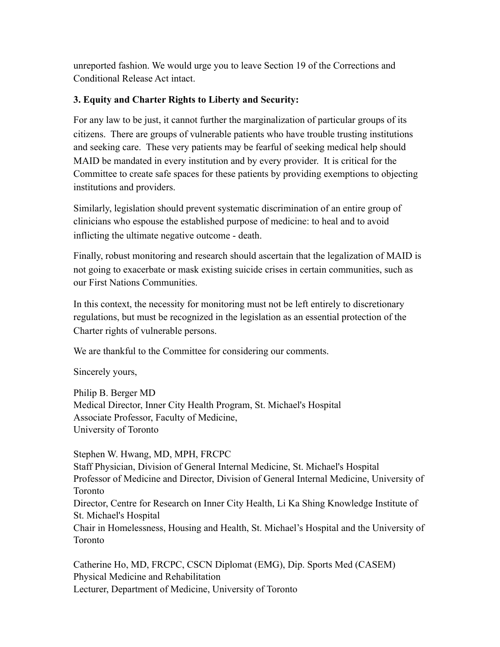unreported fashion. We would urge you to leave Section 19 of the Corrections and Conditional Release Act intact.

## **3. Equity and Charter Rights to Liberty and Security:**

For any law to be just, it cannot further the marginalization of particular groups of its citizens. There are groups of vulnerable patients who have trouble trusting institutions and seeking care. These very patients may be fearful of seeking medical help should MAID be mandated in every institution and by every provider. It is critical for the Committee to create safe spaces for these patients by providing exemptions to objecting institutions and providers.

Similarly, legislation should prevent systematic discrimination of an entire group of clinicians who espouse the established purpose of medicine: to heal and to avoid inflicting the ultimate negative outcome - death.

Finally, robust monitoring and research should ascertain that the legalization of MAID is not going to exacerbate or mask existing suicide crises in certain communities, such as our First Nations Communities.

In this context, the necessity for monitoring must not be left entirely to discretionary regulations, but must be recognized in the legislation as an essential protection of the Charter rights of vulnerable persons.

We are thankful to the Committee for considering our comments.

Sincerely yours,

Philip B. Berger MD Medical Director, Inner City Health Program, St. Michael's Hospital Associate Professor, Faculty of Medicine, University of Toronto

Stephen W. Hwang, MD, MPH, FRCPC Staff Physician, Division of General Internal Medicine, St. Michael's Hospital Professor of Medicine and Director, Division of General Internal Medicine, University of Toronto Director, Centre for Research on Inner City Health, Li Ka Shing Knowledge Institute of St. Michael's Hospital Chair in Homelessness, Housing and Health, St. Michael's Hospital and the University of Toronto

Catherine Ho, MD, FRCPC, CSCN Diplomat (EMG), Dip. Sports Med (CASEM) Physical Medicine and Rehabilitation Lecturer, Department of Medicine, University of Toronto